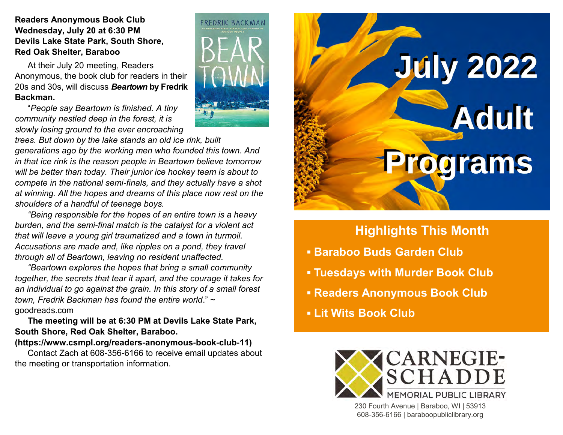### **Readers Anonymous Book Club Wednesday, July 20 at 6:30 PM Devils Lake State Park, South Shore, Red Oak Shelter, Baraboo**

At their July 20 meeting, Readers Anonymous, the book club for readers in their 20s and 30s, will discuss *Beartown* **by Fredrik Backman.**

"*People say Beartown is finished. A tiny community nestled deep in the forest, it is slowly losing ground to the ever encroaching* 



*"Being responsible for the hopes of an entire town is a heavy burden, and the semi-final match is the catalyst for a violent act that will leave a young girl traumatized and a town in turmoil. Accusations are made and, like ripples on a pond, they travel through all of Beartown, leaving no resident unaffected.*

*"Beartown explores the hopes that bring a small community together, the secrets that tear it apart, and the courage it takes for an individual to go against the grain. In this story of a small forest town, Fredrik Backman has found the entire world*." ~ goodreads.com

**The meeting will be at 6:30 PM at Devils Lake State Park, South Shore, Red Oak Shelter, Baraboo.** 

### **(https://www.csmpl.org/readers-anonymous-book-club-11)**

Contact Zach at 608-356-6166 to receive email updates about the meeting or transportation information.





# **Highlights This Month**

- **Baraboo Buds Garden Club**
- **Tuesdays with Murder Book Club**
- **Readers Anonymous Book Club**
- **Lit Wits Book Club**



230 Fourth Avenue | Baraboo, WI | 53913 608-356-6166 | baraboopubliclibrary.org